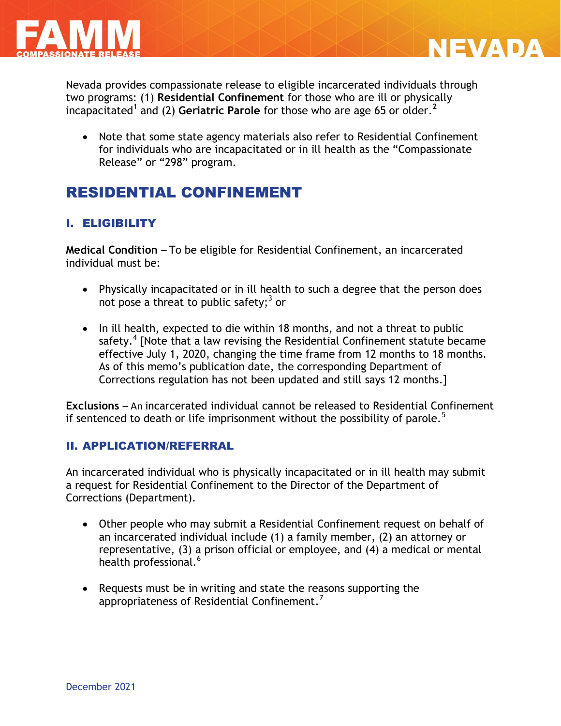



Nevada provides compassionate release to eligible incarcerated individuals through two programs: (1) **Residential Confinement** for those who are ill or physically incapacitated<sup>1</sup> and (2) Geriatric Parole for those who are age 65 or older.<sup>2</sup>

• Note that some state agency materials also refer to Residential Confinement for individuals who are incapacitated or in ill health as the "Compassionate Release" or "298" program.

# RESIDENTIAL CONFINEMENT

# I. ELIGIBILITY

**Medical Condition** – To be eligible for Residential Confinement, an incarcerated individual must be:

- Physically incapacitated or in ill health to such a degree that the person does not pose a threat to public safety;<sup>3</sup> or
- In ill health, expected to die within 18 months, and not a threat to public safety.<sup>4</sup> [Note that a law revising the Residential Confinement statute became effective July 1, 2020, changing the time frame from 12 months to 18 months. As of this memo's publication date, the corresponding Department of Corrections regulation has not been updated and still says 12 months.]

**Exclusions** – An incarcerated individual cannot be released to Residential Confinement if sentenced to death or life imprisonment without the possibility of parole.<sup>5</sup>

### II. APPLICATION/REFERRAL

An incarcerated individual who is physically incapacitated or in ill health may submit a request for Residential Confinement to the Director of the Department of Corrections (Department).

- Other people who may submit a Residential Confinement request on behalf of an incarcerated individual include (1) a family member, (2) an attorney or representative, (3) a prison official or employee, and (4) a medical or mental health professional.<sup>6</sup>
- Requests must be in writing and state the reasons supporting the appropriateness of Residential Confinement.<sup>7</sup>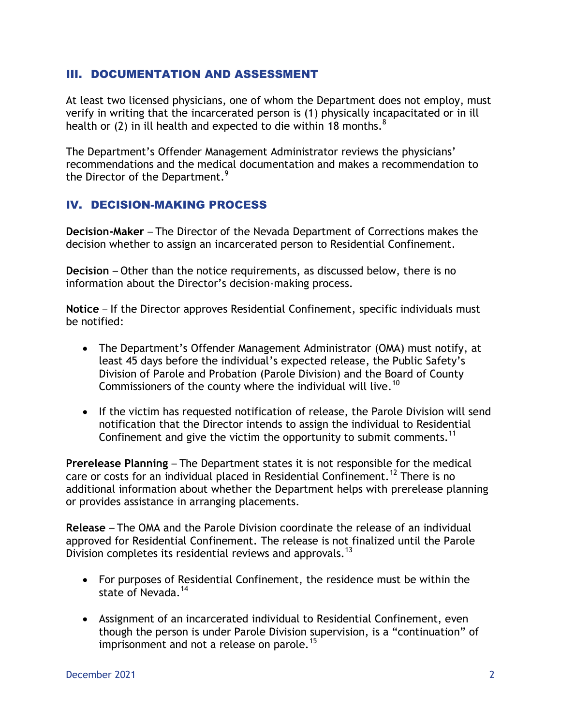### III. DOCUMENTATION AND ASSESSMENT

At least two licensed physicians, one of whom the Department does not employ, must verify in writing that the incarcerated person is (1) physically incapacitated or in ill health or (2) in ill health and expected to die within 18 months. $8<sup>8</sup>$ 

The Department's Offender Management Administrator reviews the physicians' recommendations and the medical documentation and makes a recommendation to the Director of the Department.<sup>9</sup>

## IV. DECISION-MAKING PROCESS

**Decision-Maker** – The Director of the Nevada Department of Corrections makes the decision whether to assign an incarcerated person to Residential Confinement.

**Decision** – Other than the notice requirements, as discussed below, there is no information about the Director's decision-making process.

**Notice** – If the Director approves Residential Confinement, specific individuals must be notified:

- The Department's Offender Management Administrator (OMA) must notify, at least 45 days before the individual's expected release, the Public Safety's Division of Parole and Probation (Parole Division) and the Board of County Commissioners of the county where the individual will live.<sup>10</sup>
- If the victim has requested notification of release, the Parole Division will send notification that the Director intends to assign the individual to Residential Confinement and give the victim the opportunity to submit comments.<sup>11</sup>

**Prerelease Planning** – The Department states it is not responsible for the medical care or costs for an individual placed in Residential Confinement.<sup>12</sup> There is no additional information about whether the Department helps with prerelease planning or provides assistance in arranging placements.

**Release** – The OMA and the Parole Division coordinate the release of an individual approved for Residential Confinement. The release is not finalized until the Parole Division completes its residential reviews and approvals.<sup>13</sup>

- For purposes of Residential Confinement, the residence must be within the state of Nevada.<sup>14</sup>
- Assignment of an incarcerated individual to Residential Confinement, even though the person is under Parole Division supervision, is a "continuation" of imprisonment and not a release on parole.<sup>15</sup>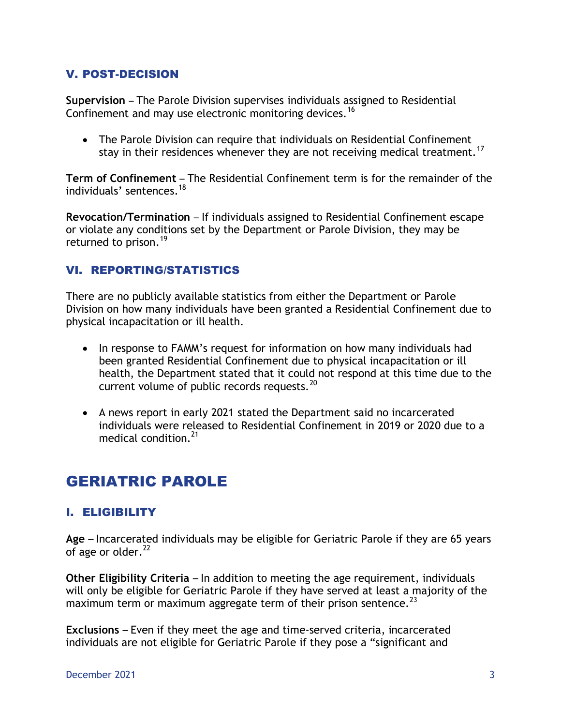# V. POST-DECISION

**Supervision** – The Parole Division supervises individuals assigned to Residential Confinement and may use electronic monitoring devices.<sup>16</sup>

 The Parole Division can require that individuals on Residential Confinement stay in their residences whenever they are not receiving medical treatment.<sup>17</sup>

**Term of Confinement** – The Residential Confinement term is for the remainder of the individuals' sentences. 18

**Revocation/Termination** – If individuals assigned to Residential Confinement escape or violate any conditions set by the Department or Parole Division, they may be returned to prison.<sup>19</sup>

# VI. REPORTING/STATISTICS

There are no publicly available statistics from either the Department or Parole Division on how many individuals have been granted a Residential Confinement due to physical incapacitation or ill health.

- In response to FAMM's request for information on how many individuals had been granted Residential Confinement due to physical incapacitation or ill health, the Department stated that it could not respond at this time due to the current volume of public records requests.<sup>20</sup>
- A news report in early 2021 stated the Department said no incarcerated individuals were released to Residential Confinement in 2019 or 2020 due to a medical condition.<sup>21</sup>

# GERIATRIC PAROLE

# I. ELIGIBILITY

**Age** – Incarcerated individuals may be eligible for Geriatric Parole if they are 65 years of age or older. $^{22}$ 

**Other Eligibility Criteria** – In addition to meeting the age requirement, individuals will only be eligible for Geriatric Parole if they have served at least a majority of the maximum term or maximum aggregate term of their prison sentence.  $^{23}$ 

**Exclusions** – Even if they meet the age and time-served criteria, incarcerated individuals are not eligible for Geriatric Parole if they pose a "significant and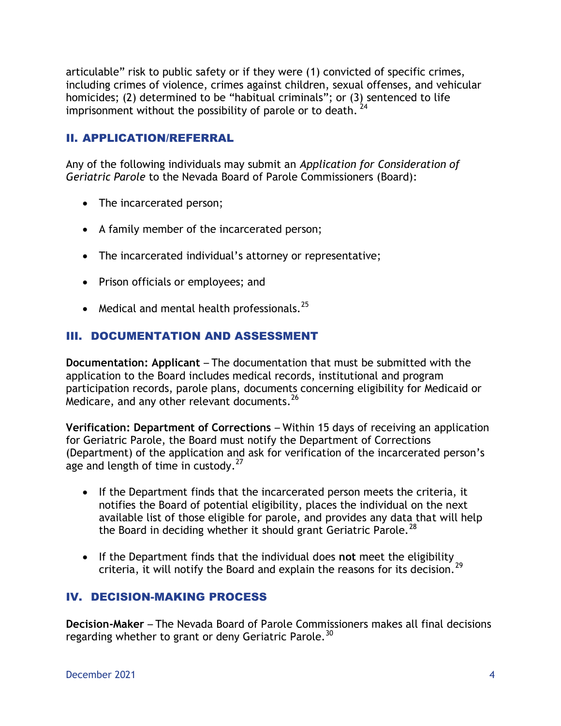articulable" risk to public safety or if they were (1) convicted of specific crimes, including crimes of violence, crimes against children, sexual offenses, and vehicular homicides; (2) determined to be "habitual criminals"; or (3) sentenced to life imprisonment without the possibility of parole or to death.  $^{24}$ 

# II. APPLICATION/REFERRAL

Any of the following individuals may submit an *Application for Consideration of Geriatric Parole* to the Nevada Board of Parole Commissioners (Board):

- The incarcerated person;
- A family member of the incarcerated person;
- The incarcerated individual's attorney or representative;
- Prison officials or employees; and
- Medical and mental health professionals. $^{25}$

# III. DOCUMENTATION AND ASSESSMENT

**Documentation: Applicant** – The documentation that must be submitted with the application to the Board includes medical records, institutional and program participation records, parole plans, documents concerning eligibility for Medicaid or Medicare, and any other relevant documents. $^{26}$ 

**Verification: Department of Corrections** – Within 15 days of receiving an application for Geriatric Parole, the Board must notify the Department of Corrections (Department) of the application and ask for verification of the incarcerated person's age and length of time in custody. $27$ 

- If the Department finds that the incarcerated person meets the criteria, it notifies the Board of potential eligibility, places the individual on the next available list of those eligible for parole, and provides any data that will help the Board in deciding whether it should grant Geriatric Parole.<sup>28</sup>
- If the Department finds that the individual does **not** meet the eligibility criteria, it will notify the Board and explain the reasons for its decision.<sup>29</sup>

# IV. DECISION-MAKING PROCESS

**Decision-Maker** – The Nevada Board of Parole Commissioners makes all final decisions regarding whether to grant or deny Geriatric Parole.<sup>30</sup>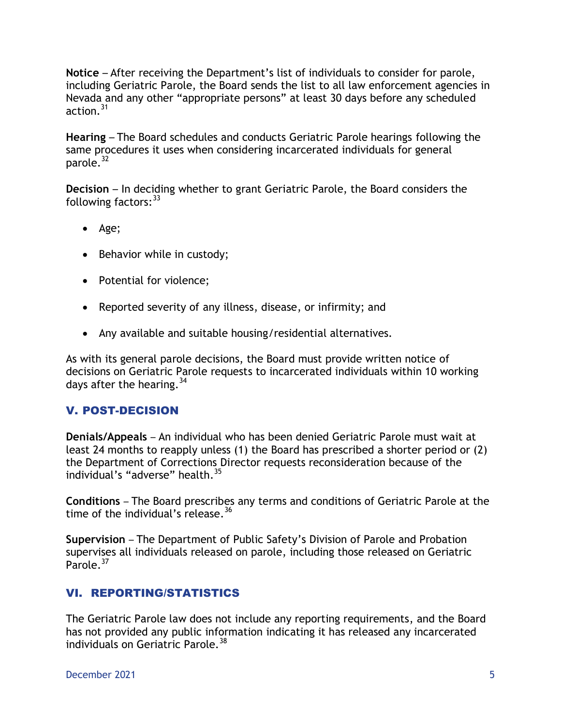**Notice** – After receiving the Department's list of individuals to consider for parole, including Geriatric Parole, the Board sends the list to all law enforcement agencies in Nevada and any other "appropriate persons" at least 30 days before any scheduled action.<sup>31</sup>

**Hearing** – The Board schedules and conducts Geriatric Parole hearings following the same procedures it uses when considering incarcerated individuals for general parole.<sup>32</sup>

**Decision** – In deciding whether to grant Geriatric Parole, the Board considers the following factors: 33

- Age;
- Behavior while in custody;
- Potential for violence;
- Reported severity of any illness, disease, or infirmity; and
- Any available and suitable housing/residential alternatives.

As with its general parole decisions, the Board must provide written notice of decisions on Geriatric Parole requests to incarcerated individuals within 10 working days after the hearing.  $34$ 

# V. POST-DECISION

**Denials/Appeals** – An individual who has been denied Geriatric Parole must wait at least 24 months to reapply unless (1) the Board has prescribed a shorter period or (2) the Department of Corrections Director requests reconsideration because of the individual's "adverse" health.<sup>35</sup>

**Conditions** – The Board prescribes any terms and conditions of Geriatric Parole at the time of the individual's release.  $36$ 

**Supervision** – The Department of Public Safety's Division of Parole and Probation supervises all individuals released on parole, including those released on Geriatric Parole.<sup>37</sup>

# VI. REPORTING/STATISTICS

The Geriatric Parole law does not include any reporting requirements, and the Board has not provided any public information indicating it has released any incarcerated individuals on Geriatric Parole.<sup>38</sup>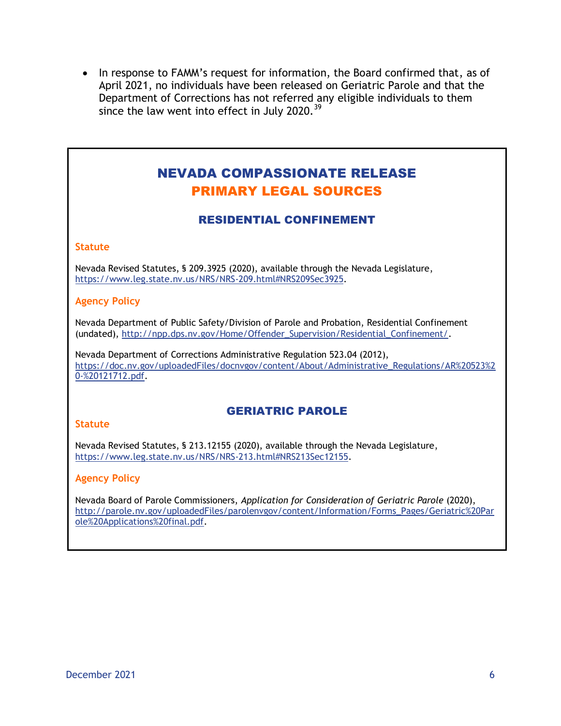• In response to FAMM's request for information, the Board confirmed that, as of April 2021, no individuals have been released on Geriatric Parole and that the Department of Corrections has not referred any eligible individuals to them since the law went into effect in July 2020. $39$ 

# NEVADA COMPASSIONATE RELEASE PRIMARY LEGAL SOURCES

## RESIDENTIAL CONFINEMENT

#### **Statute**

Nevada Revised Statutes, § 209.3925 (2020), available through the Nevada Legislature, [https://www.leg.state.nv.us/NRS/NRS-209.html#NRS209Sec3925.](https://www.leg.state.nv.us/NRS/NRS-209.html#NRS209Sec3925)

#### **Agency Policy**

Nevada Department of Public Safety/Division of Parole and Probation, Residential Confinement (undated), [http://npp.dps.nv.gov/Home/Offender\\_Supervision/Residential\\_Confinement/.](http://npp.dps.nv.gov/Home/Offender_Supervision/Residential_Confinement/)

Nevada Department of Corrections Administrative Regulation 523.04 (2012), [https://doc.nv.gov/uploadedFiles/docnvgov/content/About/Administrative\\_Regulations/AR%20523%2](https://doc.nv.gov/uploadedFiles/docnvgov/content/About/Administrative_Regulations/AR%20523%20-%20121712.pdf) [0-%20121712.pdf.](https://doc.nv.gov/uploadedFiles/docnvgov/content/About/Administrative_Regulations/AR%20523%20-%20121712.pdf)

### GERIATRIC PAROLE

#### **Statute**

Nevada Revised Statutes, § 213.12155 (2020), available through the Nevada Legislature, [https://www.leg.state.nv.us/NRS/NRS-213.html#NRS213Sec12155.](https://www.leg.state.nv.us/NRS/NRS-213.html#NRS213Sec12155)

#### **Agency Policy**

Nevada Board of Parole Commissioners, *Application for Consideration of Geriatric Parole* (2020), [http://parole.nv.gov/uploadedFiles/parolenvgov/content/Information/Forms\\_Pages/Geriatric%20Par](http://parole.nv.gov/uploadedFiles/parolenvgov/content/Information/Forms_Pages/Geriatric%20Parole%20Applications%20final.pdf) [ole%20Applications%20final.pdf.](http://parole.nv.gov/uploadedFiles/parolenvgov/content/Information/Forms_Pages/Geriatric%20Parole%20Applications%20final.pdf)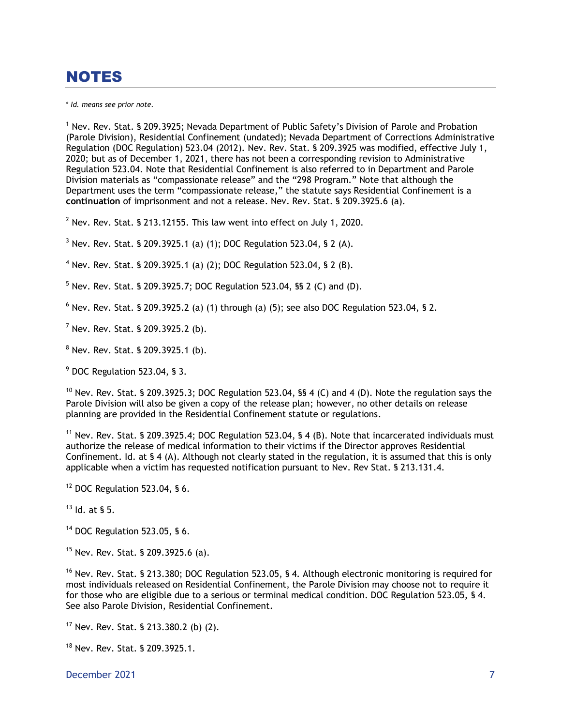# NOTES

\* *Id. means see prior note.*

<sup>1</sup> Nev. Rev. Stat. § 209.3925; Nevada Department of Public Safety's Division of Parole and Probation (Parole Division), Residential Confinement (undated); Nevada Department of Corrections Administrative Regulation (DOC Regulation) 523.04 (2012). Nev. Rev. Stat. § 209.3925 was modified, effective July 1, 2020; but as of December 1, 2021, there has not been a corresponding revision to Administrative Regulation 523.04. Note that Residential Confinement is also referred to in Department and Parole Division materials as "compassionate release" and the "298 Program." Note that although the Department uses the term "compassionate release," the statute says Residential Confinement is a **continuation** of imprisonment and not a release. Nev. Rev. Stat. § 209.3925.6 (a).

 $2$  Nev. Rev. Stat. § 213.12155. This law went into effect on July 1, 2020.

 $3$  Nev. Rev. Stat. § 209.3925.1 (a) (1); DOC Regulation 523.04, § 2 (A).

<sup>4</sup> Nev. Rev. Stat. § 209.3925.1 (a) (2); DOC Regulation 523.04, § 2 (B).

 $5$  Nev. Rev. Stat. § 209.3925.7; DOC Regulation 523.04, §§ 2 (C) and (D).

 $6$  Nev. Rev. Stat. § 209.3925.2 (a) (1) through (a) (5); see also DOC Regulation 523.04, § 2.

 $<sup>7</sup>$  Nev. Rev. Stat. § 209.3925.2 (b).</sup>

<sup>8</sup> Nev. Rev. Stat. § 209.3925.1 (b).

<sup>9</sup> DOC Regulation 523.04, § 3.

<sup>10</sup> Nev. Rev. Stat. § 209.3925.3; DOC Regulation 523.04, §§ 4 (C) and 4 (D). Note the regulation says the Parole Division will also be given a copy of the release plan; however, no other details on release planning are provided in the Residential Confinement statute or regulations.

<sup>11</sup> Nev. Rev. Stat. § 209.3925.4; DOC Regulation 523.04, § 4 (B). Note that incarcerated individuals must authorize the release of medical information to their victims if the Director approves Residential Confinement. Id. at § 4 (A). Although not clearly stated in the regulation, it is assumed that this is only applicable when a victim has requested notification pursuant to Nev. Rev Stat. § 213.131.4.

 $12$  DOC Regulation 523.04, § 6.

 $13$  Id. at § 5.

<sup>14</sup> DOC Regulation 523.05, § 6.

 $15$  Nev. Rev. Stat. § 209.3925.6 (a).

<sup>16</sup> Nev. Rev. Stat. § 213.380; DOC Regulation 523.05, § 4. Although electronic monitoring is required for most individuals released on Residential Confinement, the Parole Division may choose not to require it for those who are eligible due to a serious or terminal medical condition. DOC Regulation 523.05, § 4. See also Parole Division, Residential Confinement.

<sup>17</sup> Nev. Rev. Stat. § 213.380.2 (b) (2).

<sup>18</sup> Nev. Rev. Stat. § 209.3925.1.